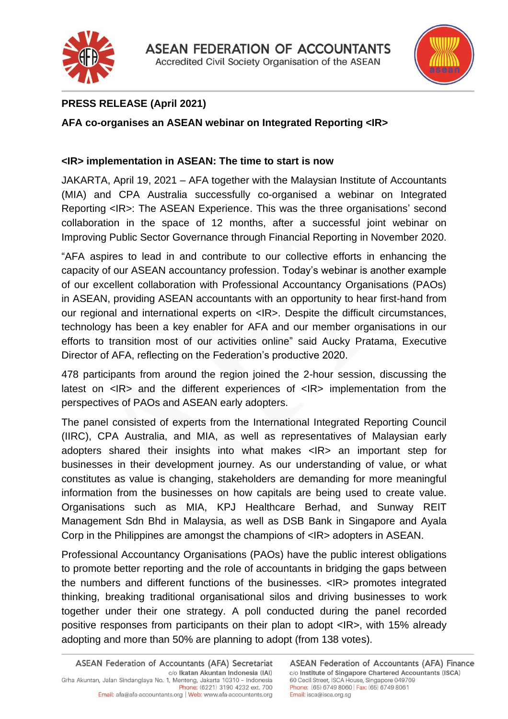



# **PRESS RELEASE (April 2021)**

# **AFA co-organises an ASEAN webinar on Integrated Reporting <IR>**

### **<IR> implementation in ASEAN: The time to start is now**

JAKARTA, April 19, 2021 – AFA together with the Malaysian Institute of Accountants (MIA) and CPA Australia successfully co-organised a webinar on Integrated Reporting <IR>: The ASEAN Experience. This was the three organisations' second collaboration in the space of 12 months, after a successful joint webinar on Improving Public Sector Governance through Financial Reporting in November 2020.

"AFA aspires to lead in and contribute to our collective efforts in enhancing the capacity of our ASEAN accountancy profession. Today's webinar is another example of our excellent collaboration with Professional Accountancy Organisations (PAOs) in ASEAN, providing ASEAN accountants with an opportunity to hear first-hand from our regional and international experts on <IR>. Despite the difficult circumstances, technology has been a key enabler for AFA and our member organisations in our efforts to transition most of our activities online" said Aucky Pratama, Executive Director of AFA, reflecting on the Federation's productive 2020.

478 participants from around the region joined the 2-hour session, discussing the latest on <IR> and the different experiences of <IR> implementation from the perspectives of PAOs and ASEAN early adopters.

The panel consisted of experts from the International Integrated Reporting Council (IIRC), CPA Australia, and MIA, as well as representatives of Malaysian early adopters shared their insights into what makes <IR> an important step for businesses in their development journey. As our understanding of value, or what constitutes as value is changing, stakeholders are demanding for more meaningful information from the businesses on how capitals are being used to create value. Organisations such as MIA, KPJ Healthcare Berhad, and Sunway REIT Management Sdn Bhd in Malaysia, as well as DSB Bank in Singapore and Ayala Corp in the Philippines are amongst the champions of <IR> adopters in ASEAN.

Professional Accountancy Organisations (PAOs) have the public interest obligations to promote better reporting and the role of accountants in bridging the gaps between the numbers and different functions of the businesses. <IR> promotes integrated thinking, breaking traditional organisational silos and driving businesses to work together under their one strategy. A poll conducted during the panel recorded positive responses from participants on their plan to adopt <IR>, with 15% already adopting and more than 50% are planning to adopt (from 138 votes).